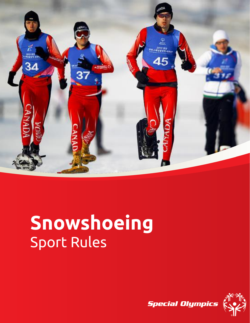

# **Snowshoeing** Sport Rules

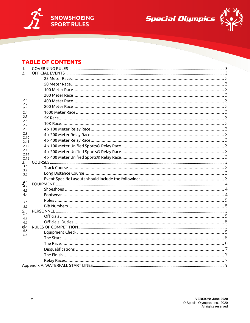

Special Olympics



# **TABLE OF CONTENTS**

| 1.                |  |  |  |
|-------------------|--|--|--|
| 2.                |  |  |  |
|                   |  |  |  |
|                   |  |  |  |
|                   |  |  |  |
|                   |  |  |  |
| 2.1               |  |  |  |
| 2.2<br>2.3        |  |  |  |
| 2.4               |  |  |  |
| 2.5               |  |  |  |
| 2.6<br>2.7        |  |  |  |
| 2.8               |  |  |  |
| 2.9               |  |  |  |
| 2.10<br>2.11      |  |  |  |
| 2.12              |  |  |  |
| 2.13              |  |  |  |
| 2.14<br>2.15      |  |  |  |
| 3.                |  |  |  |
| 3.1<br>3.2        |  |  |  |
| 3.3               |  |  |  |
|                   |  |  |  |
| $4.1$<br>$4.2$    |  |  |  |
| 4.3               |  |  |  |
| 4.4               |  |  |  |
| 5.1               |  |  |  |
| 5.2               |  |  |  |
| 5.<br>6.1         |  |  |  |
| 6.2               |  |  |  |
| 6.3               |  |  |  |
| რ.4<br>6.5<br>6.6 |  |  |  |
|                   |  |  |  |
|                   |  |  |  |
|                   |  |  |  |
|                   |  |  |  |
|                   |  |  |  |
|                   |  |  |  |
|                   |  |  |  |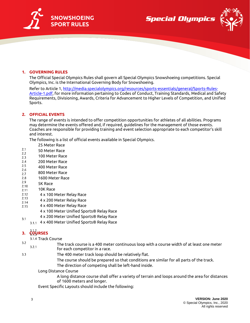

**Special Olympics** 



## <span id="page-2-0"></span>**1. GOVERNING RULES**

The Official Special Olympics Rules shall govern all Special Olympics Snowshoeing competitions. Special Olympics, Inc. is the International Governing Body for Snowshoeing.

Refer to Article 1[, http://media.specialolympics.org/resources/sports-essentials/general/Sports-Rules-](http://media.specialolympics.org/resources/sports-essentials/general/Sports-Rules-Article-1.pdf)[Article-1.pdf,](http://media.specialolympics.org/resources/sports-essentials/general/Sports-Rules-Article-1.pdf) for more information pertaining to Codes of Conduct, Training Standards, Medical and Safety Requirements, Divisioning, Awards, Criteria for Advancement to Higher Levels of Competition, and Unified Sports.

### <span id="page-2-1"></span>**2. OFFICIAL EVENTS**

The range of events is intended to offer competition opportunities for athletes of all abilities. Programs may determine the events offered and, if required, guidelines for the management of those events. Coaches are responsible for providing training and event selection appropriate to each competitor's skill and interest.

The following is a list of official events available in Special Olympics.

- 25 Meter Race
- <span id="page-2-3"></span><span id="page-2-2"></span> $2.1$ 50 Meter Race  $2.2$
- <span id="page-2-4"></span>100 Meter Race  $2.3$
- <span id="page-2-5"></span> $2.4$ 200 Meter Race
- <span id="page-2-6"></span> $2.5$ 400 Meter Race 2.6
- <span id="page-2-7"></span>800 Meter Race  $2.7$
- <span id="page-2-8"></span>2.8 1600 Meter Race
- <span id="page-2-9"></span>2.9 5K Race  $2.10$
- <span id="page-2-10"></span>10K Race  $2.11$
- <span id="page-2-11"></span> $2.12$ 4 x 100 Meter Relay Race
- <span id="page-2-12"></span> $2.13$  4 x 200 Meter Relay Race 2.14
- <span id="page-2-14"></span><span id="page-2-13"></span> 4 x 400 Meter Relay Race  $2.15$ 
	- 4 x 100 Meter Unified Sports® Relay Race
	- 4 x 200 Meter Unified Sports® Relay Race
- <span id="page-2-16"></span><span id="page-2-15"></span> $3.1$ 3.1.1 4 x 400 Meter Unified Sports® Relay Race

# <span id="page-2-17"></span>**3. COURSES**

<span id="page-2-19"></span>3.3

3.1.4 Track Course

- <span id="page-2-18"></span> $3.2$ The track course is a 400 meter continuous loop with a course width of at least one meter  $3.2.1$ for each competitor in a race.
	- The 400 meter track loop should be relatively flat.
		- The course should be prepared so that conditions are similar for all parts of the track.
		- The direction of competing shall be left-hand inside.
		- Long Distance Course

A long distance course shall offer a variety of terrain and loops around the area for distances of 1600 meters and longer.

<span id="page-2-20"></span>Event Specific Layouts should include the following: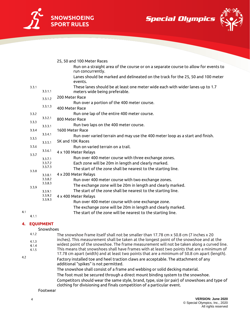





|       |                    | 25, 50 and 100 Meter Races                                                                                     |
|-------|--------------------|----------------------------------------------------------------------------------------------------------------|
|       |                    | Run on a straight area of the course or on a separate course to allow for events to<br>run concurrently.       |
|       |                    | Lanes should be marked and delineated on the track for the 25, 50 and 100 meter<br>events.                     |
| 3.3.1 | 3.3.1.1            | These lanes should be at least one meter wide each with wider lanes up to 1.7<br>meters wide being preferable. |
|       | 3.3.1.2            | 200 Meter Race                                                                                                 |
|       | 3.3.1.3            | Run over a portion of the 400 meter course.<br>400 Meter Race                                                  |
| 3.3.2 |                    | Run one lap of the entire 400 meter course.                                                                    |
| 3.3.3 | 3.3.2.1            | 800 Meter Race                                                                                                 |
|       | 3.3.3.1            | Run two laps on the 400 meter course.                                                                          |
| 3.3.4 | 3.3.4.1            | 1600 Meter Race                                                                                                |
| 3.3.5 |                    | Run over varied terrain and may use the 400 meter loop as a start and finish.                                  |
|       | 3.3.5.1            | 5K and 10K Races                                                                                               |
| 3.3.6 | 3.3.6.1            | Run on varied terrain on a trail.                                                                              |
| 3.3.7 |                    | 4 x 100 Meter Relays                                                                                           |
|       | 3.3.7.1<br>3.3.7.2 | Run over 400 meter course with three exchange zones.<br>Each zone will be 20m in length and clearly marked.    |
|       | 3.3.7.3            | The start of the zone shall be nearest to the starting line.                                                   |
| 3.3.8 | 3.3.8.1            | 4 x 200 Meter Relays                                                                                           |
|       | 3.3.8.2            | Run over 400 meter course with two exchange zones.                                                             |
|       | 3.3.8.3            | The exchange zone will be 20m in length and clearly marked.                                                    |
| 3.3.9 | 3.3.9.1            | The start of the zone shall be nearest to the starting line.                                                   |
|       | 3.3.9.2            | 4 x 400 Meter Relays                                                                                           |
|       | 3.3.9.3            | Run over 400 meter course with one exchange zone.                                                              |
|       |                    | The exchange zone will be 20m in length and clearly marked.                                                    |
|       |                    | The start of the zone will be nearest to the starting line.                                                    |
| 4.1.1 |                    |                                                                                                                |

# <span id="page-3-1"></span><span id="page-3-0"></span>**4. EQUIPMENT**

 $4.1$ 

 $4.2$ 

# Snowshoes

| 4.1.2 | The snowshoe frame itself shall not be smaller than 17.78 cm x 50.8 cm (7 inches x 20        |
|-------|----------------------------------------------------------------------------------------------|
| 4.1.3 | inches). This measurement shall be taken at the longest point of the snowshoe and at the     |
| 4.1.4 | widest point of the snowshoe. The frame measurement will not be taken along a curved line.   |
| 4.1.5 | This means that snowshoes shall have frames with at least two points that are a minimum of   |
|       | 17.78 cm apart (width) and at least two points that are a minimum of 50.8 cm apart (length). |
|       | Factory installed toe and heel traction claws are acceptable. The attachment of any          |

additional "spikes" is not permitted. The snowshoe shall consist of a frame and webbing or solid decking material. The foot must be secured through a direct mount binding system to the snowshoe. Competitors should wear the same style, brand, type, size (or pair) of snowshoes and type of clothing for divisioning and finals competition of a particular event.

#### <span id="page-3-2"></span>Footwear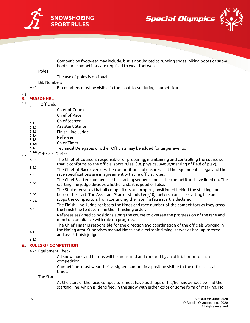

**Special Olympics** 



Competition footwear may include, but is not limited to running shoes, hiking boots or snow boots. All competitors are required to wear footwear.

#### <span id="page-4-0"></span>Poles

The use of poles is optional.

#### Bib Numbers

Bib numbers must be visible in the front torso during competition.

#### 4.3

#### <span id="page-4-2"></span>**5. PERSONNEL**

<span id="page-4-1"></span> $4.2.1$ 

<span id="page-4-3"></span> $4.4$ Officials  $4.4.1$ 

- Chief of Course
- Chief of Race
- $5.1$ Chief Starter
	- $5.1.1$ Assistant Starter  $5.1.2$
	- $5.1.3$ Finish Line Judge
	- 5.1.4
	- Referees 5.1.5
	- Chief Timer 5.1.6
	- $5.1.7$ Technical Delegates or other Officials may be added for larger events.

#### <span id="page-4-4"></span> $5.1.8$  Officials' Duties  $5.2$

- The Chief of Course is responsible for preparing, maintaining and controlling the course so  $5.2.1$ that it conforms to the official sport rules. (i.e. physical layout/marking of field of play).  $5.2.2$
- The Chief of Race oversees the competition and ensures that the equipment is legal and the race specifications are in agreement with the official rules.  $5.2.3$
- The Chief Starter commences the starting sequence once the competitors have lined up. The  $5.2.4$ starting line judge decides whether a start is good or false.
- The Starter ensures that all competitors are properly positioned behind the starting line  $5.2.5$ before the start. The Assistant Starter stands ten (10) meters from the starting line and
- stops the competitors from continuing the race if a false start is declared.  $5.2.6$
- The Finish Line Judge registers the times and race number of the competitors as they cross  $5.2.7$ the finish line to determine their finishing order.
	- Referees assigned to positions along the course to oversee the progression of the race and monitor compliance with rule on progress.
- The Chief Timer is responsible for the direction and coordination of the officials working in the timing area. Supervises manual times and electronic timing; serves as backup referee  $6.1.1$ and assist finish judge.

#### 612

 $6.1$ 

# <span id="page-4-6"></span><span id="page-4-5"></span>**6. RULES OF COMPETITION**

6.2.1 Equipment Check

All snowshoes and batons will be measured and checked by an official prior to each competition.

Competitors must wear their assigned number in a position visible to the officials at all times.

<span id="page-4-7"></span>The Start

At the start of the race, competitors must have both tips of his/her snowshoes behind the starting line, which is identified, in the snow with either color or some form of marking. No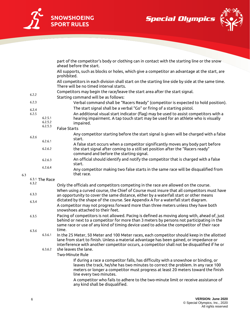**SNOWSHOEING SPORT RULES**





|                |                    | ahead before the start.                                                                                                                                                                                                                                                                |
|----------------|--------------------|----------------------------------------------------------------------------------------------------------------------------------------------------------------------------------------------------------------------------------------------------------------------------------------|
|                |                    | All supports, such as blocks or holes, which give a competitor an advantage at the start, are<br>prohibited.                                                                                                                                                                           |
|                |                    | All competitors in each division shall start on the starting line side by side at the same time.<br>There will be no timed interval starts.                                                                                                                                            |
| 6.2.2          |                    | Competitors may begin the race/leave the start area after the start signal.<br>Starting command will be as follows:                                                                                                                                                                    |
| 6.2.3          |                    | Verbal command shall be "Racers Ready" (competitor is expected to hold position).                                                                                                                                                                                                      |
|                |                    | The start signal shall be a verbal "Go" or firing of a starting pistol.                                                                                                                                                                                                                |
| 6.2.4<br>6.2.5 |                    | An additional visual start indicator (flag) may be used to assist competitors with a                                                                                                                                                                                                   |
|                | 6.2.5.1<br>6.2.5.2 | hearing impairment. A tap touch start may be used for an athlete who is visually<br>impaired.                                                                                                                                                                                          |
|                | 6.2.5.3            | <b>False Starts</b>                                                                                                                                                                                                                                                                    |
| 6.2.6          |                    | Any competitor starting before the start signal is given will be charged with a false<br>start.                                                                                                                                                                                        |
|                | 6.2.6.1            | A false start occurs when a competitor significantly moves any body part before                                                                                                                                                                                                        |
|                | 6.2.6.2            | the start signal after coming to a still set position after the "Racers ready"<br>command and before the starting signal.                                                                                                                                                              |
|                | 6.2.6.3            | An official should identify and notify the competitor that is charged with a false                                                                                                                                                                                                     |
|                | 6.2.6.4            | start.                                                                                                                                                                                                                                                                                 |
|                |                    | Any competitor making two false starts in the same race will be disqualified from<br>that race.                                                                                                                                                                                        |
|                | 6.3.1 The Race     |                                                                                                                                                                                                                                                                                        |
| 6.3.2          |                    | Only the officials and competitors competing in the race are allowed on the course.                                                                                                                                                                                                    |
| 6.3.3          |                    | When using a curved course, the Chief of Course must insure that all competitors must have<br>an opportunity to cover the same distance, either by a waterfall start or other means                                                                                                    |
| 6.3.4          |                    | dictated by the shape of the course. See Appendix A for a waterfall start diagram.                                                                                                                                                                                                     |
|                |                    | A competitor may not progress forward more than three meters unless they have both<br>snowshoes attached to their feet.                                                                                                                                                                |
| 6.3.5          |                    | Pacing of competitors is not allowed. Pacing is defined as moving along with, ahead of, just<br>behind or next to a competitor for more than 3 meters by persons not participating in the<br>same race or use of any kind of timing device used to advise the competitor of their race |
| 6.3.6          |                    | time.                                                                                                                                                                                                                                                                                  |
|                | 6.3.6.1            | In the 25 Meter, 50 Meter and 100 Meter races, each competitor should keep in the allotted<br>lane from start to finish. Unless a material advantage has been gained, or impedance or<br>interference with another competitor occurs, a competitor shall not be disqualified if he or  |
|                | 6.3.6.2            | she leaves the lane.                                                                                                                                                                                                                                                                   |
|                |                    | <b>Two-Minute Rule</b>                                                                                                                                                                                                                                                                 |
|                |                    | If during a race a competitor falls, has difficulty with a snowshoe or binding, or<br>leaves the track, he/she has two minutes to correct the problem. In any race 100<br>meters or longer a competitor must progress at least 20 meters toward the finish<br>line every two minutes.  |
|                |                    | A competitor who fails to adhere to the two-minute limit or receive assistance of<br>any kind shall be disqualified.                                                                                                                                                                   |

part of the competitor's body or clothing can in contact with the starting line or the snow

<span id="page-5-0"></span> $6.3$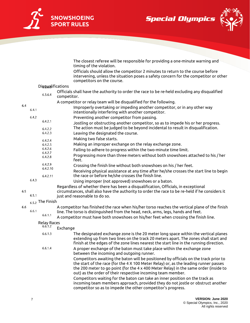

**Special Olympics** 



The closest referee will be responsible for providing a one-minute warning and timing of the violation.

Officials should allow the competitor 2 minutes to return to the course before intervening, unless the situation poses a safety concern for the competitor or other competitors on the course.

<span id="page-6-0"></span>

|     |       |                      | competitors on the course.                                                                                                                                                                                                                                          |
|-----|-------|----------------------|---------------------------------------------------------------------------------------------------------------------------------------------------------------------------------------------------------------------------------------------------------------------|
|     |       | Disgualifications    |                                                                                                                                                                                                                                                                     |
|     |       | 6.3.6.4              | Officials shall have the authority to order the race to be re-held excluding any disqualified<br>competitor.                                                                                                                                                        |
|     |       |                      | A competitor or relay team will be disqualified for the following.                                                                                                                                                                                                  |
| 6.4 | 6.4.1 |                      | Improperly overtaking or impeding another competitor, or in any other way<br>intentionally interfering with another competitor.                                                                                                                                     |
|     | 6.4.2 |                      | Preventing another competitor from passing.                                                                                                                                                                                                                         |
|     |       | 6.4.2.1              | Jostling or obstructing another competitor, so as to impede his or her progress.                                                                                                                                                                                    |
|     |       | 6.4.2.2              | The action must be judged to be beyond incidental to result in disqualification.                                                                                                                                                                                    |
|     |       | 6.4.2.3              | Leaving the designated the course.                                                                                                                                                                                                                                  |
|     |       | 6.4.2.4              | Making two false starts.                                                                                                                                                                                                                                            |
|     |       | 6.4.2.5              | Making an improper exchange on the relay exchange zone.                                                                                                                                                                                                             |
|     |       | 6.4.2.6              | Failing to adhere to progress within the two-minute time limit.                                                                                                                                                                                                     |
|     |       | 6.4.2.7              | Progressing more than three meters without both snowshoes attached to his / her                                                                                                                                                                                     |
|     |       | 6.4.2.8              | feet.                                                                                                                                                                                                                                                               |
|     |       | 6.4.2.9              | Crossing the finish line without both snowshoes on his / her feet.                                                                                                                                                                                                  |
|     |       | 6.4.2.10<br>6.4.2.11 | Receiving physical assistance at any time after he/she crosses the start line to begin<br>the race or before he/she crosses the finish line.                                                                                                                        |
|     | 6.4.3 |                      | Using improper (not approved) snowshoes or a baton.                                                                                                                                                                                                                 |
|     |       |                      | Regardless of whether there has been a disqualification, Officials, in exceptional                                                                                                                                                                                  |
| 6.5 | 6.5.1 |                      | circumstances, shall also have the authority to order the race to be re-held if he considers it<br>just and reasonable to do so.                                                                                                                                    |
|     |       | $6.5.2$ The Finish   |                                                                                                                                                                                                                                                                     |
| 6.6 |       |                      | A competitor has finished the race when his/her torso reaches the vertical plane of the finish                                                                                                                                                                      |
|     | 6.6.1 | 6.6.1.1              | line. The torso is distinguished from the head, neck, arms, legs, hands and feet.                                                                                                                                                                                   |
|     |       |                      | A competitor must have both snowshoes on his/her feet when crossing the finish line.                                                                                                                                                                                |
|     |       | <b>Relay Races</b>   |                                                                                                                                                                                                                                                                     |
|     |       | 6.6.1.2              | Exchange                                                                                                                                                                                                                                                            |
|     |       | 6.6.1.3              | The designated exchange zone is the 20 meter long space within the vertical planes<br>extending up from two lines on the track 20 meters apart. The zones shall start and<br>finish at the edges of the zone lines nearest the start line in the running direction. |
|     |       | 6.6.1.4              | A proper exchange of the baton must take place within the exchange zone<br>between the incoming and outgoing runner.                                                                                                                                                |
|     |       |                      | Competitors awaiting the baton will be positioned by officials on the track prior to                                                                                                                                                                                |

<span id="page-6-2"></span><span id="page-6-1"></span>the start of the race (for the 4 X 100 Meter Relay) or, as the leading runner passes the 200 meter to go point (for the 4 x 400 Meter Relay) in the same order (inside to out) as the order of their respective incoming team member.

Competitors waiting for the baton can take an inner position on the track as incoming team members approach, provided they do not jostle or obstruct another competitor so as to impede the other competitor's progress.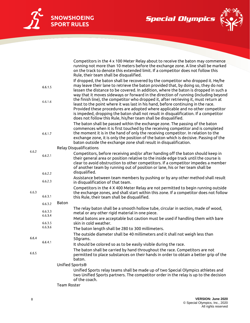

**Special Olympics** 



|       |                    | Competitors in the 4 x 100 Meter Relay about to receive the baton may commence                                                                                                                                                                                                                                                                                                                                                                |
|-------|--------------------|-----------------------------------------------------------------------------------------------------------------------------------------------------------------------------------------------------------------------------------------------------------------------------------------------------------------------------------------------------------------------------------------------------------------------------------------------|
|       |                    | running not more than 10 meters before the exchange zone. A line shall be marked<br>on the track to denote this extended limit. If a competitor does not follow this                                                                                                                                                                                                                                                                          |
|       |                    | Rule, their team shall be disqualified.                                                                                                                                                                                                                                                                                                                                                                                                       |
|       | 6.6.1.5            | If dropped, the baton shall be recovered by the competitor who dropped it. He/he<br>may leave their lane to retrieve the baton provided that, by doing so, they do not<br>lessen the distance to be covered. In addition, where the baton is dropped in such a<br>way that it moves sideways or forward in the direction of running (including beyond<br>the finish line), the competitor who dropped it, after retrieving it, must return at |
|       | 6.6.1.6            | least to the point where it was last in his hand, before continuing in the race.<br>Provided these procedures are adopted where applicable and no other competitor<br>is impeded, dropping the baton shall not result in disqualification. If a competitor<br>does not follow this Rule, his/her team shall be disqualified.                                                                                                                  |
|       | 6.6.1.7            | The baton shall be passed within the exchange zone. The passing of the baton<br>commences when it is first touched by the receiving competitor and is completed<br>the moment it is in the hand of only the receiving competitor. In relation to the<br>exchange zone, it is only the position of the baton which is decisive. Passing of the<br>baton outside the exchange zone shall result in disqualification.                            |
| 6.6.2 |                    | <b>Relay Disqualifications</b>                                                                                                                                                                                                                                                                                                                                                                                                                |
|       | 6.6.2.1            | Competitors, before receiving and/or after handing off the baton should keep in<br>their general area or position relative to the inside edge track until the course is<br>clear to avoid obstruction to other competitors. If a competitor impedes a member<br>of another team by running out of position or lane, his or her team shall be<br>disqualified.                                                                                 |
|       | 6.6.2.2            | Assistance between team members by pushing or by any other method shall result                                                                                                                                                                                                                                                                                                                                                                |
|       | 6.6.2.3            | in disqualification of that team.                                                                                                                                                                                                                                                                                                                                                                                                             |
| 6.6.3 | 6.6.3.1            | Competitors in the 4 X 400 Meter Relay are not permitted to begin running outside<br>the exchange zones, and shall start within this zone. If a competitor does not follow<br>this Rule, their team shall be disqualified.                                                                                                                                                                                                                    |
|       | 6.6.3.2            | Baton                                                                                                                                                                                                                                                                                                                                                                                                                                         |
|       | 6.6.3.3<br>6.6.3.4 | The relay baton shall be a smooth hollow tube, circular in section, made of wood,<br>metal or any other rigid material in one piece.                                                                                                                                                                                                                                                                                                          |
|       | 6.6.3.5            | Metal batons are acceptable but caution must be used if handling them with bare<br>skin in cold weather.                                                                                                                                                                                                                                                                                                                                      |
|       | 6.6.3.6            | The baton length shall be 280 to 300 millimeters.                                                                                                                                                                                                                                                                                                                                                                                             |
| 6.6.4 |                    | The outside diameter shall be 40 millimeters and it shall not weigh less than<br>50grams.                                                                                                                                                                                                                                                                                                                                                     |
|       | 6.6.4.1            | It should be colored so as to be easily visible during the race.                                                                                                                                                                                                                                                                                                                                                                              |
| 6.6.5 |                    | The baton shall be carried by hand throughout the race. Competitors are not<br>permitted to place substances on their hands in order to obtain a better grip of the<br>baton.                                                                                                                                                                                                                                                                 |
|       |                    | Unified Sports®                                                                                                                                                                                                                                                                                                                                                                                                                               |
|       |                    | Unified Sports relay teams shall be made up of two Special Olympics athletes and<br>two Unified Sports partners. The competitor order in the relay is up to the decision<br>of the coach.                                                                                                                                                                                                                                                     |
|       |                    | Team Roster                                                                                                                                                                                                                                                                                                                                                                                                                                   |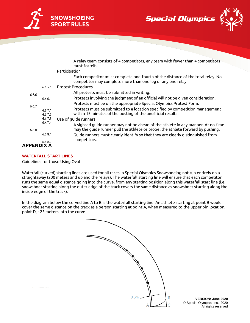

**Special Olympics** 



A relay team consists of 4 competitors, any team with fewer than 4 competitors must forfeit.

|                   |                    | Participation                                                                                                                                                       |
|-------------------|--------------------|---------------------------------------------------------------------------------------------------------------------------------------------------------------------|
|                   |                    | Each competitor must complete one-fourth of the distance of the total relay. No<br>competitor may complete more than one leg of any one relay.                      |
|                   | 6.6.5.1            | <b>Protest Procedures</b>                                                                                                                                           |
| 6.6.6             |                    | All protests must be submitted in writing.                                                                                                                          |
|                   | 6.6.6.1            | Protests involving the judgment of an official will not be given consideration.                                                                                     |
| 6.6.7             |                    | Protests must be on the appropriate Special Olympics Protest Form.                                                                                                  |
|                   | 6.6.7.1<br>6.6.7.2 | Protests must be submitted to a location specified by competition management<br>within 15 minutes of the posting of the unofficial results.                         |
|                   | 6.6.7.3            | Use of quide runners                                                                                                                                                |
| 6.6.8             | 6.6.7.4            | A sighted guide runner may not be ahead of the athlete in any manner. At no time<br>may the guide runner pull the athlete or propel the athlete forward by pushing. |
|                   | 6.6.8.1            | Guide runners must clearly identify so that they are clearly distinguished from<br>competitors.                                                                     |
|                   | 6.6.8.2            |                                                                                                                                                                     |
| <b>APPENDIX A</b> |                    |                                                                                                                                                                     |

# <span id="page-8-0"></span>**WATERFALL START LINES**

Guidelines for those Using Oval

Waterfall (curved) starting lines are used for all races in Special Olympics Snowshoeing not run entirely on a straightaway (200 meters and up and the relays). The waterfall starting line will ensure that each competitor runs the same equal distance going into the curve, from any starting position along this waterfall start line (i.e. snowshoer starting along the outer edge of the track covers the same distance as snowshoer starting along the inside edge of the track).

In the diagram below the curved line A to B is the waterfall starting line. An athlete starting at point B would cover the same distance on the track as a person starting at point A, when measured to the upper pin location, point D, ~25 meters into the curve.



**VERSION: June 2020** © Special Olympics, Inc., 2020 All rights reserved